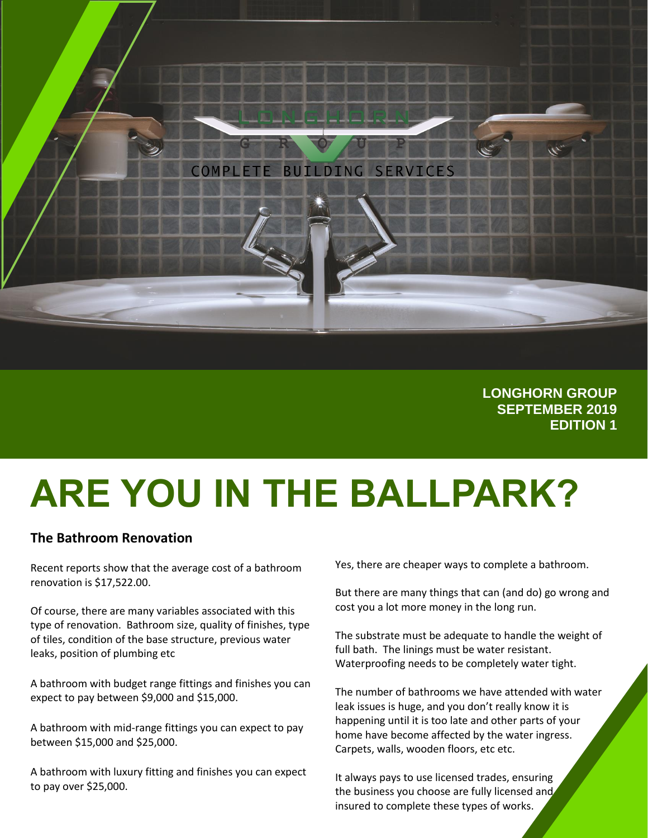

**LONGHORN GROUP SEPTEMBER 2019 EDITION 1**

# **ARE YOU IN THE BALLPARK?**

### **The Bathroom Renovation**

Recent reports show that the average cost of a bathroom renovation is \$17,522.00.

Of course, there are many variables associated with this type of renovation. Bathroom size, quality of finishes, type of tiles, condition of the base structure, previous water leaks, position of plumbing etc

A bathroom with budget range fittings and finishes you can expect to pay between \$9,000 and \$15,000.

A bathroom with mid-range fittings you can expect to pay between \$15,000 and \$25,000.

A bathroom with luxury fitting and finishes you can expect to pay over \$25,000.

Yes, there are cheaper ways to complete a bathroom.

But there are many things that can (and do) go wrong and cost you a lot more money in the long run.

The substrate must be adequate to handle the weight of full bath. The linings must be water resistant. Waterproofing needs to be completely water tight.

The number of bathrooms we have attended with water leak issues is huge, and you don't really know it is happening until it is too late and other parts of your home have become affected by the water ingress. Carpets, walls, wooden floors, etc etc.

It always pays to use licensed trades, ensuring the business you choose are fully licensed and insured to complete these types of works.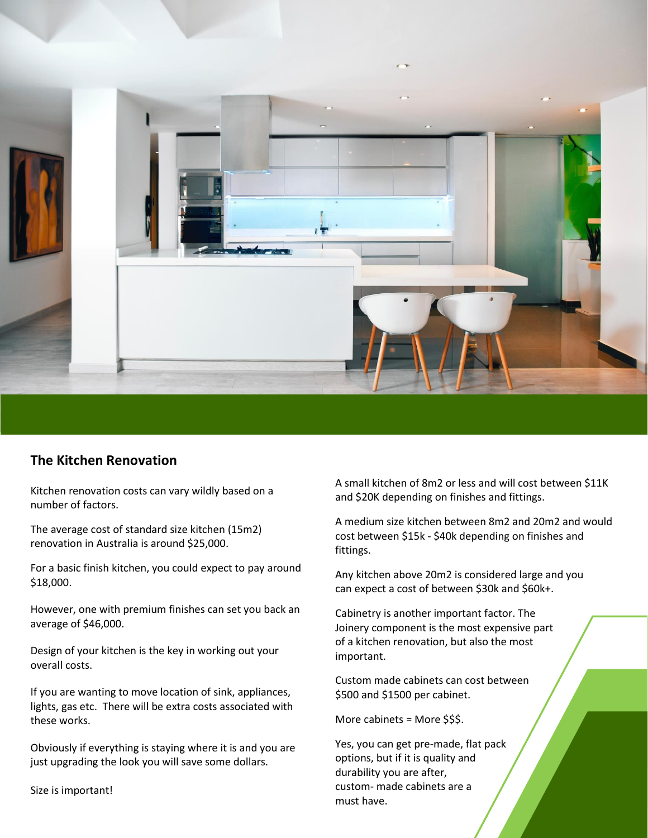

#### **The Kitchen Renovation**

Kitchen renovation costs can vary wildly based on a number of factors.

The average cost of standard size kitchen (15m2) renovation in Australia is around \$25,000.

For a basic finish kitchen, you could expect to pay around \$18,000.

However, one with premium finishes can set you back an average of \$46,000.

Design of your kitchen is the key in working out your overall costs.

If you are wanting to move location of sink, appliances, lights, gas etc. There will be extra costs associated with these works.

Obviously if everything is staying where it is and you are just upgrading the look you will save some dollars.

Size is important!

A small kitchen of 8m2 or less and will cost between \$11K and \$20K depending on finishes and fittings.

A medium size kitchen between 8m2 and 20m2 and would cost between \$15k - \$40k depending on finishes and fittings.

Any kitchen above 20m2 is considered large and you can expect a cost of between \$30k and \$60k+.

Cabinetry is another important factor. The Joinery component is the most expensive part of a kitchen renovation, but also the most important.

Custom made cabinets can cost between \$500 and \$1500 per cabinet.

More cabinets = More \$\$\$.

Yes, you can get pre-made, flat pack options, but if it is quality and durability you are after, custom- made cabinets are a must have.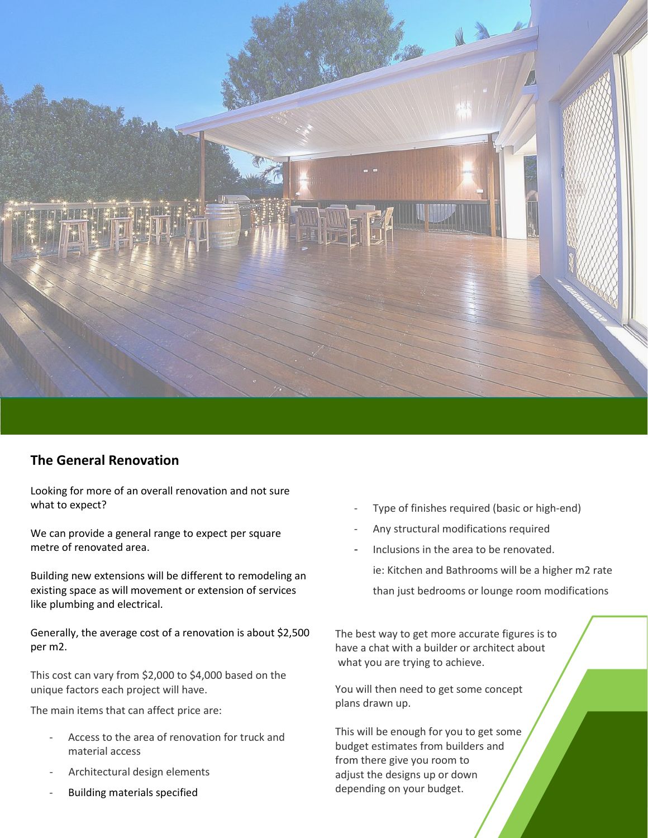

#### **The General Renovation**

Looking for more of an overall renovation and not sure what to expect?

We can provide a general range to expect per square metre of renovated area.

Building new extensions will be different to remodeling an existing space as will movement or extension of services like plumbing and electrical.

Generally, the average cost of a renovation is about \$2,500 per m2.

This cost can vary from \$2,000 to \$4,000 based on the unique factors each project will have.

The main items that can affect price are:

- Access to the area of renovation for truck and material access
- Architectural design elements
- Building materials specified
- Type of finishes required (basic or high-end)
- Any structural modifications required
- Inclusions in the area to be renovated.
- ie: Kitchen and Bathrooms will be a higher m2 rate than just bedrooms or lounge room modifications

The best way to get more accurate figures is to have a chat with a builder or architect about what you are trying to achieve.

You will then need to get some concept plans drawn up.

This will be enough for you to get some budget estimates from builders and from there give you room to adjust the designs up or down depending on your budget.